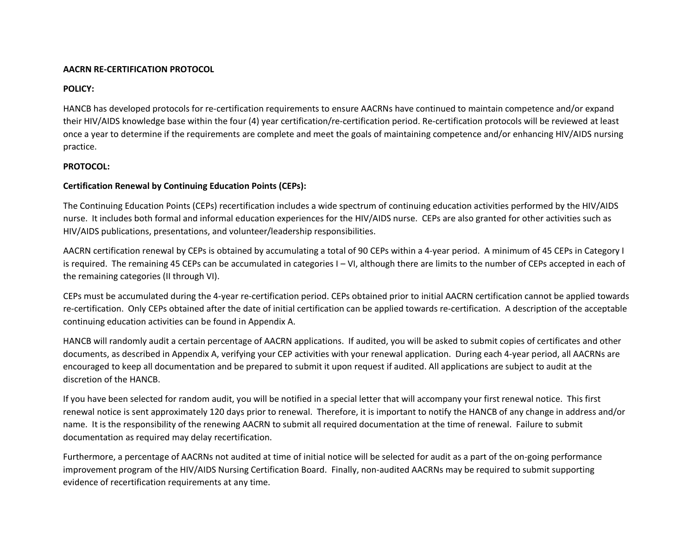#### **AACRN RE-CERTIFICATION PROTOCOL**

### **POLICY:**

HANCB has developed protocols for re-certification requirements to ensure AACRNs have continued to maintain competence and/or expand their HIV/AIDS knowledge base within the four (4) year certification/re-certification period. Re-certification protocols will be reviewed at least once a year to determine if the requirements are complete and meet the goals of maintaining competence and/or enhancing HIV/AIDS nursing practice.

#### **PROTOCOL:**

### **Certification Renewal by Continuing Education Points (CEPs):**

The Continuing Education Points (CEPs) recertification includes a wide spectrum of continuing education activities performed by the HIV/AIDS nurse. It includes both formal and informal education experiences for the HIV/AIDS nurse. CEPs are also granted for other activities such as HIV/AIDS publications, presentations, and volunteer/leadership responsibilities.

AACRN certification renewal by CEPs is obtained by accumulating a total of 90 CEPs within a 4-year period. A minimum of 45 CEPs in Category I is required. The remaining 45 CEPs can be accumulated in categories I – VI, although there are limits to the number of CEPs accepted in each of the remaining categories (II through VI).

CEPs must be accumulated during the 4-year re-certification period. CEPs obtained prior to initial AACRN certification cannot be applied towards re-certification. Only CEPs obtained after the date of initial certification can be applied towards re-certification. A description of the acceptable continuing education activities can be found in Appendix A.

HANCB will randomly audit a certain percentage of AACRN applications. If audited, you will be asked to submit copies of certificates and other documents, as described in Appendix A, verifying your CEP activities with your renewal application. During each 4-year period, all AACRNs are encouraged to keep all documentation and be prepared to submit it upon request if audited. All applications are subject to audit at the discretion of the HANCB.

If you have been selected for random audit, you will be notified in a special letter that will accompany your first renewal notice. This first renewal notice is sent approximately 120 days prior to renewal. Therefore, it is important to notify the HANCB of any change in address and/or name. It is the responsibility of the renewing AACRN to submit all required documentation at the time of renewal. Failure to submit documentation as required may delay recertification.

Furthermore, a percentage of AACRNs not audited at time of initial notice will be selected for audit as a part of the on-going performance improvement program of the HIV/AIDS Nursing Certification Board. Finally, non-audited AACRNs may be required to submit supporting evidence of recertification requirements at any time.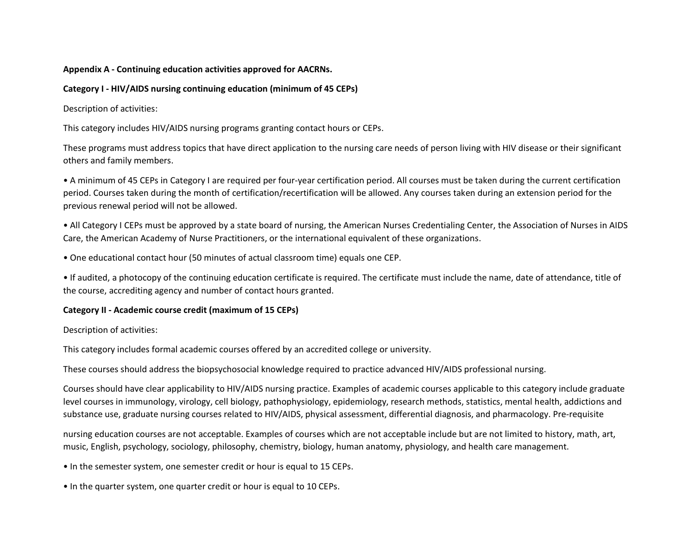#### **Appendix A - Continuing education activities approved for AACRNs.**

## **Category I - HIV/AIDS nursing continuing education (minimum of 45 CEPs)**

Description of activities:

This category includes HIV/AIDS nursing programs granting contact hours or CEPs.

These programs must address topics that have direct application to the nursing care needs of person living with HIV disease or their significant others and family members.

• A minimum of 45 CEPs in Category I are required per four-year certification period. All courses must be taken during the current certification period. Courses taken during the month of certification/recertification will be allowed. Any courses taken during an extension period for the previous renewal period will not be allowed.

• All Category I CEPs must be approved by a state board of nursing, the American Nurses Credentialing Center, the Association of Nurses in AIDS Care, the American Academy of Nurse Practitioners, or the international equivalent of these organizations.

• One educational contact hour (50 minutes of actual classroom time) equals one CEP.

• If audited, a photocopy of the continuing education certificate is required. The certificate must include the name, date of attendance, title of the course, accrediting agency and number of contact hours granted.

# **Category II - Academic course credit (maximum of 15 CEPs)**

Description of activities:

This category includes formal academic courses offered by an accredited college or university.

These courses should address the biopsychosocial knowledge required to practice advanced HIV/AIDS professional nursing.

Courses should have clear applicability to HIV/AIDS nursing practice. Examples of academic courses applicable to this category include graduate level courses in immunology, virology, cell biology, pathophysiology, epidemiology, research methods, statistics, mental health, addictions and substance use, graduate nursing courses related to HIV/AIDS, physical assessment, differential diagnosis, and pharmacology. Pre-requisite

nursing education courses are not acceptable. Examples of courses which are not acceptable include but are not limited to history, math, art, music, English, psychology, sociology, philosophy, chemistry, biology, human anatomy, physiology, and health care management.

• In the semester system, one semester credit or hour is equal to 15 CEPs.

• In the quarter system, one quarter credit or hour is equal to 10 CEPs.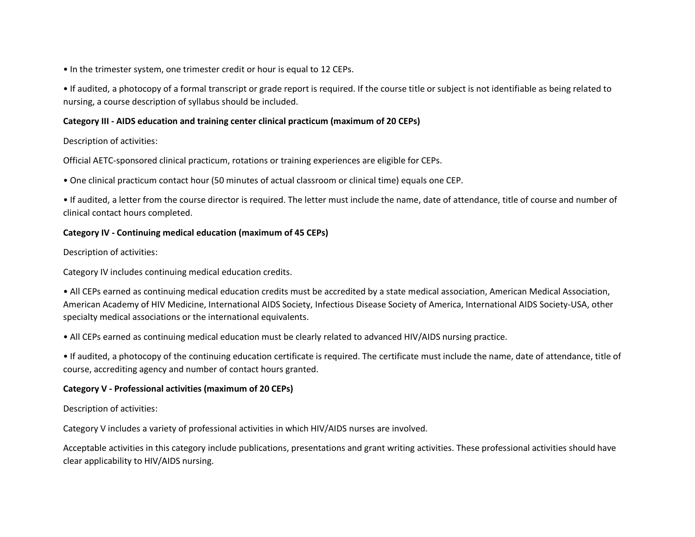• In the trimester system, one trimester credit or hour is equal to 12 CEPs.

• If audited, a photocopy of a formal transcript or grade report is required. If the course title or subject is not identifiable as being related to nursing, a course description of syllabus should be included.

## **Category III - AIDS education and training center clinical practicum (maximum of 20 CEPs)**

Description of activities:

Official AETC-sponsored clinical practicum, rotations or training experiences are eligible for CEPs.

• One clinical practicum contact hour (50 minutes of actual classroom or clinical time) equals one CEP.

• If audited, a letter from the course director is required. The letter must include the name, date of attendance, title of course and number of clinical contact hours completed.

# **Category IV - Continuing medical education (maximum of 45 CEPs)**

Description of activities:

Category IV includes continuing medical education credits.

• All CEPs earned as continuing medical education credits must be accredited by a state medical association, American Medical Association, American Academy of HIV Medicine, International AIDS Society, Infectious Disease Society of America, International AIDS Society-USA, other specialty medical associations or the international equivalents.

• All CEPs earned as continuing medical education must be clearly related to advanced HIV/AIDS nursing practice.

• If audited, a photocopy of the continuing education certificate is required. The certificate must include the name, date of attendance, title of course, accrediting agency and number of contact hours granted.

# **Category V - Professional activities (maximum of 20 CEPs)**

Description of activities:

Category V includes a variety of professional activities in which HIV/AIDS nurses are involved.

Acceptable activities in this category include publications, presentations and grant writing activities. These professional activities should have clear applicability to HIV/AIDS nursing.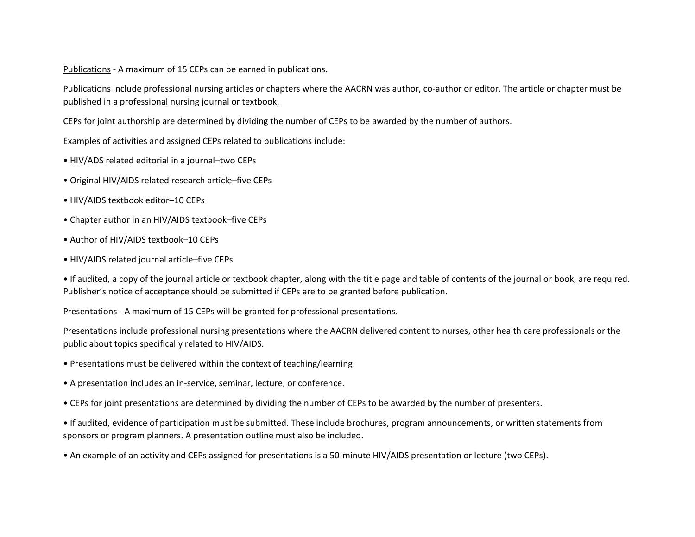Publications - A maximum of 15 CEPs can be earned in publications.

Publications include professional nursing articles or chapters where the AACRN was author, co-author or editor. The article or chapter must be published in a professional nursing journal or textbook.

CEPs for joint authorship are determined by dividing the number of CEPs to be awarded by the number of authors.

Examples of activities and assigned CEPs related to publications include:

- HIV/ADS related editorial in a journal–two CEPs
- Original HIV/AIDS related research article–five CEPs
- HIV/AIDS textbook editor–10 CEPs
- Chapter author in an HIV/AIDS textbook–five CEPs
- Author of HIV/AIDS textbook–10 CEPs
- HIV/AIDS related journal article–five CEPs

• If audited, a copy of the journal article or textbook chapter, along with the title page and table of contents of the journal or book, are required. Publisher's notice of acceptance should be submitted if CEPs are to be granted before publication.

Presentations - A maximum of 15 CEPs will be granted for professional presentations.

Presentations include professional nursing presentations where the AACRN delivered content to nurses, other health care professionals or the public about topics specifically related to HIV/AIDS.

- Presentations must be delivered within the context of teaching/learning.
- A presentation includes an in-service, seminar, lecture, or conference.
- CEPs for joint presentations are determined by dividing the number of CEPs to be awarded by the number of presenters.
- If audited, evidence of participation must be submitted. These include brochures, program announcements, or written statements from sponsors or program planners. A presentation outline must also be included.
- An example of an activity and CEPs assigned for presentations is a 50-minute HIV/AIDS presentation or lecture (two CEPs).